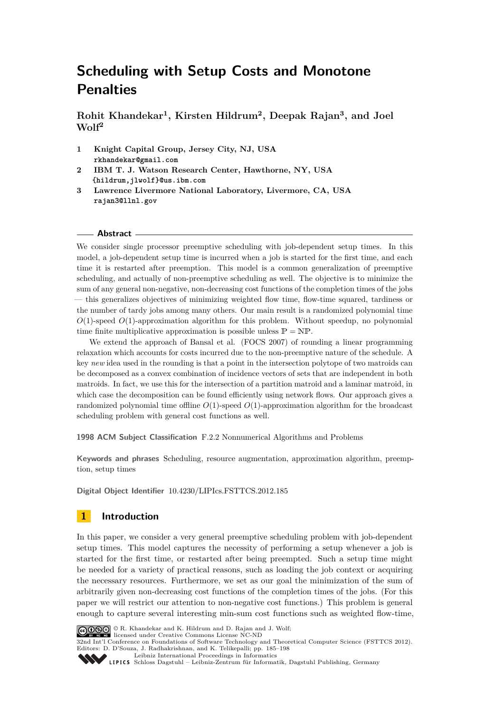**Rohit Khandekar<sup>1</sup> , Kirsten Hildrum<sup>2</sup> , Deepak Rajan<sup>3</sup> , and Joel Wolf<sup>2</sup>**

- **1 Knight Capital Group, Jersey City, NJ, USA rkhandekar@gmail.com**
- **2 IBM T. J. Watson Research Center, Hawthorne, NY, USA {hildrum,jlwolf}@us.ibm.com**
- **3 Lawrence Livermore National Laboratory, Livermore, CA, USA rajan3@llnl.gov**

#### **Abstract**

We consider single processor preemptive scheduling with job-dependent setup times. In this model, a job-dependent setup time is incurred when a job is started for the first time, and each time it is restarted after preemption. This model is a common generalization of preemptive scheduling, and actually of non-preemptive scheduling as well. The objective is to minimize the sum of any general non-negative, non-decreasing cost functions of the completion times of the jobs — this generalizes objectives of minimizing weighted flow time, flow-time squared, tardiness or the number of tardy jobs among many others. Our main result is a randomized polynomial time *O*(1)-speed *O*(1)-approximation algorithm for this problem. Without speedup, no polynomial time finite multiplicative approximation is possible unless  $\mathbb{P} = \mathbb{NP}$ .

We extend the approach of Bansal et al. (FOCS 2007) of rounding a linear programming relaxation which accounts for costs incurred due to the non-preemptive nature of the schedule. A key *new* idea used in the rounding is that a point in the intersection polytope of two matroids can be decomposed as a convex combination of incidence vectors of sets that are independent in both matroids. In fact, we use this for the intersection of a partition matroid and a laminar matroid, in which case the decomposition can be found efficiently using network flows. Our approach gives a randomized polynomial time offline *O*(1)-speed *O*(1)-approximation algorithm for the broadcast scheduling problem with general cost functions as well.

**1998 ACM Subject Classification** F.2.2 Nonnumerical Algorithms and Problems

**Keywords and phrases** Scheduling, resource augmentation, approximation algorithm, preemption, setup times

**Digital Object Identifier** [10.4230/LIPIcs.FSTTCS.2012.185](http://dx.doi.org/10.4230/LIPIcs.FSTTCS.2012.185)

# **1 Introduction**

In this paper, we consider a very general preemptive scheduling problem with job-dependent setup times. This model captures the necessity of performing a setup whenever a job is started for the first time, or restarted after being preempted. Such a setup time might be needed for a variety of practical reasons, such as loading the job context or acquiring the necessary resources. Furthermore, we set as our goal the minimization of the sum of arbitrarily given non-decreasing cost functions of the completion times of the jobs. (For this paper we will restrict our attention to non-negative cost functions.) This problem is general enough to capture several interesting min-sum cost functions such as weighted flow-time,



© R. Khandekar and K. Hildrum and D. Rajan and J. Wolf; licensed under Creative Commons License NC-ND

32nd Int'l Conference on Foundations of Software Technology and Theoretical Computer Science (FSTTCS 2012). Editors: D. D'Souza, J. Radhakrishnan, and K. Telikepalli; pp. 185[–198](#page-13-0)

[Leibniz International Proceedings in Informatics](http://www.dagstuhl.de/lipics/)

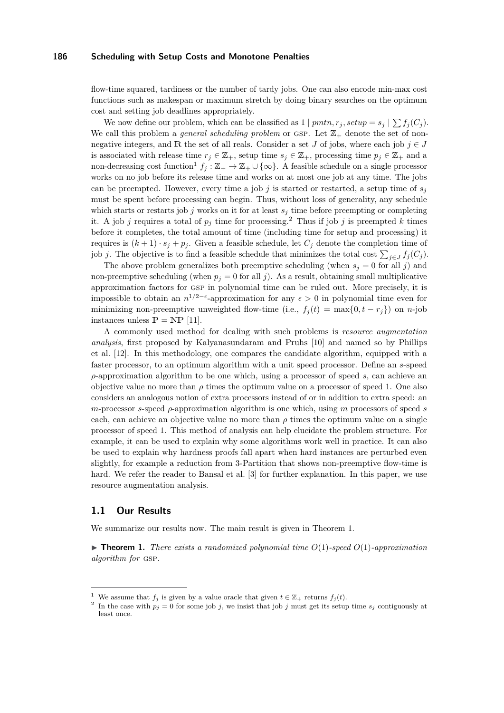flow-time squared, tardiness or the number of tardy jobs. One can also encode min-max cost functions such as makespan or maximum stretch by doing binary searches on the optimum cost and setting job deadlines appropriately.

We now define our problem, which can be classified as  $1 |pmn, r_j, setup = s_j | \sum f_j(C_j)$ . We call this problem a *general scheduling problem* or GSP. Let  $\mathbb{Z}_+$  denote the set of nonnegative integers, and R the set of all reals. Consider a set *J* of jobs, where each job  $j \in J$ is associated with release time  $r_j \in \mathbb{Z}_+$ , setup time  $s_j \in \mathbb{Z}_+$ , processing time  $p_j \in \mathbb{Z}_+$  and a non-decreasing cost function<sup>[1](#page-1-0)</sup>  $f_j : \mathbb{Z}_+ \to \mathbb{Z}_+ \cup \{\infty\}$ . A feasible schedule on a single processor works on no job before its release time and works on at most one job at any time. The jobs can be preempted. However, every time a job *j* is started or restarted, a setup time of  $s_j$ must be spent before processing can begin. Thus, without loss of generality, any schedule which starts or restarts job  $j$  works on it for at least  $s_j$  time before preempting or completing it. A job *j* requires a total of  $p_j$  time for processing.<sup>[2](#page-1-1)</sup> Thus if job *j* is preempted *k* times before it completes, the total amount of time (including time for setup and processing) it requires is  $(k+1) \cdot s_j + p_j$ . Given a feasible schedule, let  $C_j$  denote the completion time of job *j*. The objective is to find a feasible schedule that minimizes the total cost  $\sum_{j\in J} f_j(C_j)$ .

The above problem generalizes both preemptive scheduling (when  $s_j = 0$  for all *j*) and non-preemptive scheduling (when  $p_j = 0$  for all *j*). As a result, obtaining small multiplicative approximation factors for gsp in polynomial time can be ruled out. More precisely, it is impossible to obtain an  $n^{1/2-\epsilon}$ -approximation for any  $\epsilon > 0$  in polynomial time even for minimizing non-preemptive unweighted flow-time (i.e.,  $f_i(t) = \max\{0, t - r_i\}$ ) on *n*-job instances unless  $\mathbb{P} = \text{NP}$  [\[11\]](#page-13-1).

A commonly used method for dealing with such problems is *resource augmentation analysis*, first proposed by Kalyanasundaram and Pruhs [\[10\]](#page-12-0) and named so by Phillips et al. [\[12\]](#page-13-2). In this methodology, one compares the candidate algorithm, equipped with a faster processor, to an optimum algorithm with a unit speed processor. Define an *s*-speed *ρ*-approximation algorithm to be one which, using a processor of speed *s*, can achieve an objective value no more than  $\rho$  times the optimum value on a processor of speed 1. One also considers an analogous notion of extra processors instead of or in addition to extra speed: an *m*-processor *s*-speed  $\rho$ -approximation algorithm is one which, using *m* processors of speed *s* each, can achieve an objective value no more than  $\rho$  times the optimum value on a single processor of speed 1. This method of analysis can help elucidate the problem structure. For example, it can be used to explain why some algorithms work well in practice. It can also be used to explain why hardness proofs fall apart when hard instances are perturbed even slightly, for example a reduction from 3-Partition that shows non-preemptive flow-time is hard. We refer the reader to Bansal et al. [\[3\]](#page-12-1) for further explanation. In this paper, we use resource augmentation analysis.

## **1.1 Our Results**

We summarize our results now. The main result is given in Theorem [1.](#page-1-2)

<span id="page-1-2"></span> $\triangleright$  **Theorem 1.** *There exists a randomized polynomial time*  $O(1)$ *-speed*  $O(1)$ *-approximation algorithm for* gsp*.*

<span id="page-1-0"></span><sup>&</sup>lt;sup>1</sup> We assume that  $f_j$  is given by a value oracle that given  $t \in \mathbb{Z}_+$  returns  $f_j(t)$ .

<span id="page-1-1"></span><sup>&</sup>lt;sup>2</sup> In the case with  $p_j = 0$  for some job *j*, we insist that job *j* must get its setup time  $s_j$  contiguously at least once.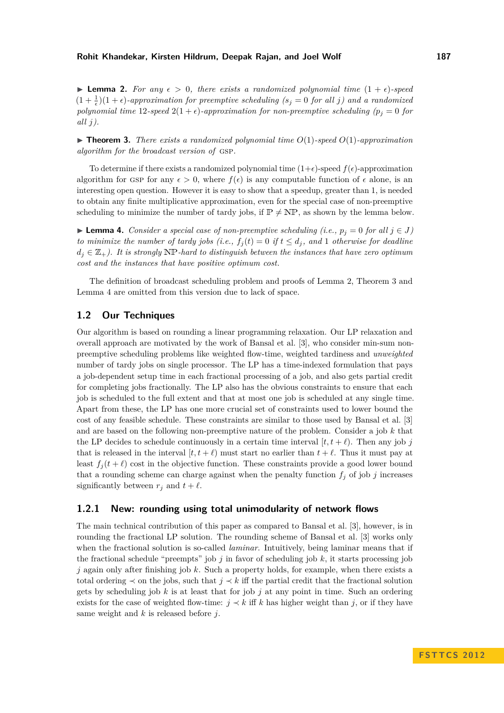#### **Rohit Khandekar, Kirsten Hildrum, Deepak Rajan, and Joel Wolf 187**

<span id="page-2-0"></span>**I Lemma 2.** For any  $\epsilon > 0$ , there exists a randomized polynomial time  $(1 + \epsilon)$ -speed  $(1 + \frac{1}{\epsilon})(1 + \epsilon)$ -approximation for preemptive scheduling (s<sub>j</sub> = 0 for all j) and a randomized *polynomial time* 12*-speed* 2(1+ $\epsilon$ )*-approximation for non-preemptive scheduling (* $p_j = 0$  *for all j).*

<span id="page-2-1"></span> $\triangleright$  **Theorem 3.** *There exists a randomized polynomial time*  $O(1)$ *-speed*  $O(1)$ *-approximation algorithm for the broadcast version of* gsp*.*

To determine if there exists a randomized polynomial time  $(1+\epsilon)$ -speed  $f(\epsilon)$ -approximation algorithm for GSP for any  $\epsilon > 0$ , where  $f(\epsilon)$  is any computable function of  $\epsilon$  alone, is an interesting open question. However it is easy to show that a speedup, greater than 1, is needed to obtain any finite multiplicative approximation, even for the special case of non-preemptive scheduling to minimize the number of tardy jobs, if  $\mathbb{P} \neq \mathbb{NP}$ , as shown by the lemma below.

<span id="page-2-2"></span>► **Lemma 4.** *Consider a special case of non-preemptive scheduling (i.e.,*  $p_j = 0$  *for all*  $j \in J$ ) *to minimize the number of tardy jobs (i.e.,*  $f_j(t) = 0$  *if*  $t \le d_j$ *, and* 1 *otherwise for deadline*  $d_j \in \mathbb{Z}_+$ ). It is strongly NP-hard to distinguish between the instances that have zero optimum *cost and the instances that have positive optimum cost.*

The definition of broadcast scheduling problem and proofs of Lemma [2,](#page-2-0) Theorem [3](#page-2-1) and Lemma [4](#page-2-2) are omitted from this version due to lack of space.

## **1.2 Our Techniques**

Our algorithm is based on rounding a linear programming relaxation. Our LP relaxation and overall approach are motivated by the work of Bansal et al. [\[3\]](#page-12-1), who consider min-sum nonpreemptive scheduling problems like weighted flow-time, weighted tardiness and *unweighted* number of tardy jobs on single processor. The LP has a time-indexed formulation that pays a job-dependent setup time in each fractional processing of a job, and also gets partial credit for completing jobs fractionally. The LP also has the obvious constraints to ensure that each job is scheduled to the full extent and that at most one job is scheduled at any single time. Apart from these, the LP has one more crucial set of constraints used to lower bound the cost of any feasible schedule. These constraints are similar to those used by Bansal et al. [\[3\]](#page-12-1) and are based on the following non-preemptive nature of the problem. Consider a job *k* that the LP decides to schedule continuously in a certain time interval  $[t, t + \ell)$ . Then any job *j* that is released in the interval  $[t, t + \ell)$  must start no earlier than  $t + \ell$ . Thus it must pay at least  $f_j(t + \ell)$  cost in the objective function. These constraints provide a good lower bound that a rounding scheme can charge against when the penalty function  $f_j$  of job  $j$  increases significantly between  $r_j$  and  $t + \ell$ .

## **1.2.1 New: rounding using total unimodularity of network flows**

The main technical contribution of this paper as compared to Bansal et al. [\[3\]](#page-12-1), however, is in rounding the fractional LP solution. The rounding scheme of Bansal et al. [\[3\]](#page-12-1) works only when the fractional solution is so-called *laminar*. Intuitively, being laminar means that if the fractional schedule "preempts" job *j* in favor of scheduling job *k*, it starts processing job *j* again only after finishing job *k*. Such a property holds, for example, when there exists a total ordering  $\prec$  on the jobs, such that  $j \prec k$  iff the partial credit that the fractional solution gets by scheduling job  $k$  is at least that for job  $j$  at any point in time. Such an ordering exists for the case of weighted flow-time:  $j \prec k$  iff k has higher weight than *j*, or if they have same weight and *k* is released before *j*.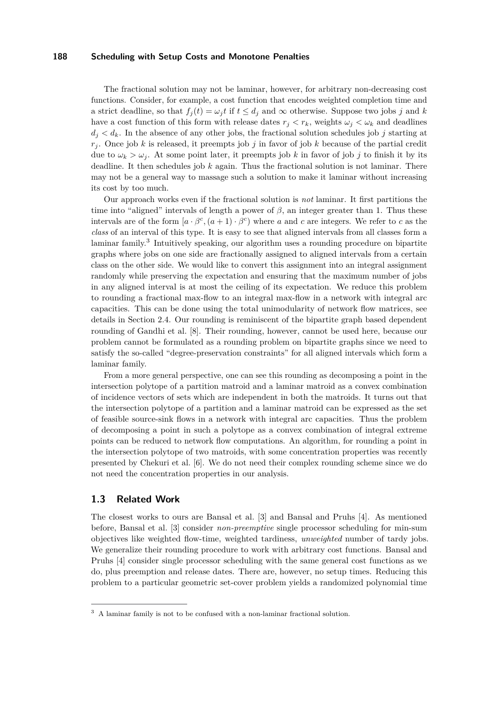The fractional solution may not be laminar, however, for arbitrary non-decreasing cost functions. Consider, for example, a cost function that encodes weighted completion time and a strict deadline, so that  $f_i(t) = \omega_i t$  if  $t \leq d_i$  and  $\infty$  otherwise. Suppose two jobs *j* and *k* have a cost function of this form with release dates  $r_j < r_k$ , weights  $\omega_j < \omega_k$  and deadlines  $d_j < d_k$ . In the absence of any other jobs, the fractional solution schedules job *j* starting at  $r_i$ . Once job *k* is released, it preempts job *j* in favor of job *k* because of the partial credit due to  $\omega_k > \omega_j$ . At some point later, it preempts job k in favor of job j to finish it by its deadline. It then schedules job *k* again. Thus the fractional solution is not laminar. There may not be a general way to massage such a solution to make it laminar without increasing its cost by too much.

Our approach works even if the fractional solution is *not* laminar. It first partitions the time into "aligned" intervals of length a power of  $\beta$ , an integer greater than 1. Thus these intervals are of the form  $[a \cdot \beta^c, (a+1) \cdot \beta^c)$  where *a* and *c* are integers. We refer to *c* as the *class* of an interval of this type. It is easy to see that aligned intervals from all classes form a laminar family.<sup>[3](#page-3-0)</sup> Intuitively speaking, our algorithm uses a rounding procedure on bipartite graphs where jobs on one side are fractionally assigned to aligned intervals from a certain class on the other side. We would like to convert this assignment into an integral assignment randomly while preserving the expectation and ensuring that the maximum number of jobs in any aligned interval is at most the ceiling of its expectation. We reduce this problem to rounding a fractional max-flow to an integral max-flow in a network with integral arc capacities. This can be done using the total unimodularity of network flow matrices, see details in Section [2.4.](#page-6-0) Our rounding is reminiscent of the bipartite graph based dependent rounding of Gandhi et al. [\[8\]](#page-12-2). Their rounding, however, cannot be used here, because our problem cannot be formulated as a rounding problem on bipartite graphs since we need to satisfy the so-called "degree-preservation constraints" for all aligned intervals which form a laminar family.

From a more general perspective, one can see this rounding as decomposing a point in the intersection polytope of a partition matroid and a laminar matroid as a convex combination of incidence vectors of sets which are independent in both the matroids. It turns out that the intersection polytope of a partition and a laminar matroid can be expressed as the set of feasible source-sink flows in a network with integral arc capacities. Thus the problem of decomposing a point in such a polytope as a convex combination of integral extreme points can be reduced to network flow computations. An algorithm, for rounding a point in the intersection polytope of two matroids, with some concentration properties was recently presented by Chekuri et al. [\[6\]](#page-12-3). We do not need their complex rounding scheme since we do not need the concentration properties in our analysis.

## **1.3 Related Work**

The closest works to ours are Bansal et al. [\[3\]](#page-12-1) and Bansal and Pruhs [\[4\]](#page-12-4). As mentioned before, Bansal et al. [\[3\]](#page-12-1) consider *non-preemptive* single processor scheduling for min-sum objectives like weighted flow-time, weighted tardiness, *unweighted* number of tardy jobs. We generalize their rounding procedure to work with arbitrary cost functions. Bansal and Pruhs [\[4\]](#page-12-4) consider single processor scheduling with the same general cost functions as we do, plus preemption and release dates. There are, however, no setup times. Reducing this problem to a particular geometric set-cover problem yields a randomized polynomial time

<span id="page-3-0"></span><sup>3</sup> A laminar family is not to be confused with a non-laminar fractional solution.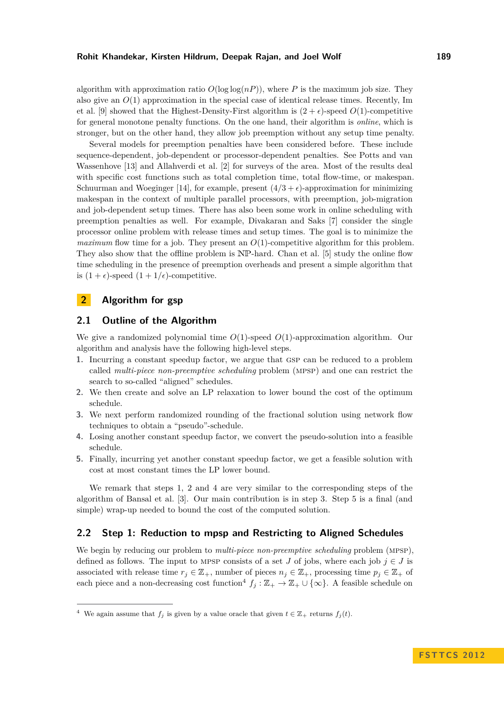algorithm with approximation ratio  $O(\log \log (n))$ , where P is the maximum job size. They also give an  $O(1)$  approximation in the special case of identical release times. Recently, Im et al. [\[9\]](#page-12-5) showed that the Highest-Density-First algorithm is  $(2 + \epsilon)$ -speed  $O(1)$ -competitive for general monotone penalty functions. On the one hand, their algorithm is *online*, which is stronger, but on the other hand, they allow job preemption without any setup time penalty.

Several models for preemption penalties have been considered before. These include sequence-dependent, job-dependent or processor-dependent penalties. See Potts and van Wassenhove [\[13\]](#page-13-3) and Allahverdi et al. [\[2\]](#page-12-6) for surveys of the area. Most of the results deal with specific cost functions such as total completion time, total flow-time, or makespan. Schuurman and Woeginger [\[14\]](#page-13-4), for example, present  $(4/3 + \epsilon)$ -approximation for minimizing makespan in the context of multiple parallel processors, with preemption, job-migration and job-dependent setup times. There has also been some work in online scheduling with preemption penalties as well. For example, Divakaran and Saks [\[7\]](#page-12-7) consider the single processor online problem with release times and setup times. The goal is to minimize the *maximum* flow time for a job. They present an  $O(1)$ -competitive algorithm for this problem. They also show that the offline problem is  $NP$ -hard. Chan et al. [\[5\]](#page-12-8) study the online flow time scheduling in the presence of preemption overheads and present a simple algorithm that is  $(1 + \epsilon)$ -speed  $(1 + 1/\epsilon)$ -competitive.

# **2 Algorithm for gsp**

## **2.1 Outline of the Algorithm**

We give a randomized polynomial time *O*(1)-speed *O*(1)-approximation algorithm. Our algorithm and analysis have the following high-level steps.

- **1.** Incurring a constant speedup factor, we argue that gsp can be reduced to a problem called *multi-piece non-preemptive scheduling* problem (mpsp) and one can restrict the search to so-called "aligned" schedules.
- **2.** We then create and solve an LP relaxation to lower bound the cost of the optimum schedule.
- **3.** We next perform randomized rounding of the fractional solution using network flow techniques to obtain a "pseudo"-schedule.
- **4.** Losing another constant speedup factor, we convert the pseudo-solution into a feasible schedule.
- **5.** Finally, incurring yet another constant speedup factor, we get a feasible solution with cost at most constant times the LP lower bound.

We remark that steps 1, 2 and 4 are very similar to the corresponding steps of the algorithm of Bansal et al. [\[3\]](#page-12-1). Our main contribution is in step 3. Step 5 is a final (and simple) wrap-up needed to bound the cost of the computed solution.

## **2.2 Step 1: Reduction to mpsp and Restricting to Aligned Schedules**

We begin by reducing our problem to *multi-piece non-preemptive scheduling* problem (MPSP), defined as follows. The input to MPSP consists of a set *J* of jobs, where each job  $j \in J$  is associated with release time  $r_j \in \mathbb{Z}_+$ , number of pieces  $n_j \in \mathbb{Z}_+$ , processing time  $p_j \in \mathbb{Z}_+$  of each piece and a non-decreasing cost function<sup>[4](#page-4-0)</sup>  $f_j : \mathbb{Z}_+ \to \mathbb{Z}_+ \cup \{\infty\}$ . A feasible schedule on

<span id="page-4-0"></span><sup>&</sup>lt;sup>4</sup> We again assume that  $f_j$  is given by a value oracle that given  $t \in \mathbb{Z}_+$  returns  $f_j(t)$ .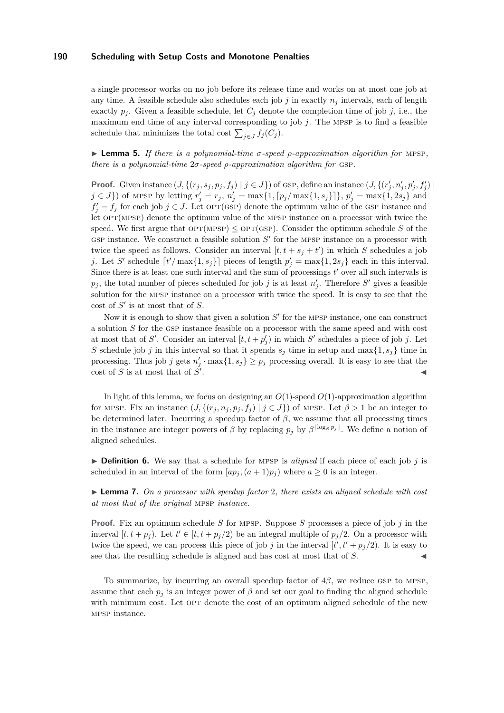a single processor works on no job before its release time and works on at most one job at any time. A feasible schedule also schedules each job  $j$  in exactly  $n_j$  intervals, each of length exactly  $p_j$ . Given a feasible schedule, let  $C_j$  denote the completion time of job j, i.e., the maximum end time of any interval corresponding to job *j*. The mpsp is to find a feasible schedule that minimizes the total cost  $\sum_{j \in J} f_j(C_j)$ .

<span id="page-5-0"></span>I **Lemma 5.** *If there is a polynomial-time σ-speed ρ-approximation algorithm for* mpsp*, there is a polynomial-time*  $2\sigma$ *-speed*  $\rho$ *-approximation algorithm for* GSP.

**Proof.** Given instance  $(J, \{(r_j, s_j, p_j, f_j) \mid j \in J\})$  of GSP, define an instance  $(J, \{(r'_j, n'_j, p'_j, f'_j) \mid j \in J\})$  $j \in J$ ) of MPSP by letting  $r'_j = r_j$ ,  $n'_j = \max\{1, [p_j/\max\{1, s_j\}]\}, p'_j = \max\{1, 2s_j\}$  and  $f'_{j} = f_{j}$  for each job  $j \in J$ . Let  $\text{OPT}(\text{GSP})$  denote the optimum value of the GSP instance and let  $OPT(MPSP)$  denote the optimum value of the MPSP instance on a processor with twice the speed. We first argue that  $\text{OPT(MPSP)} \le \text{OPT(SSP)}$ . Consider the optimum schedule S of the GSP instance. We construct a feasible solution  $S'$  for the MPSP instance on a processor with twice the speed as follows. Consider an interval  $[t, t + s_j + t')$  in which *S* schedules a job *j*. Let *S*<sup> $\prime$ </sup> schedule  $\lceil t'/\max\{1, s_j\}\rceil$  pieces of length  $p'_j = \max\{1, 2s_j\}$  each in this interval. Since there is at least one such interval and the sum of processings  $t'$  over all such intervals is  $p_j$ , the total number of pieces scheduled for job *j* is at least  $n'_j$ . Therefore *S*<sup> $\prime$ </sup> gives a feasible solution for the mpsp instance on a processor with twice the speed. It is easy to see that the cost of  $S'$  is at most that of  $S$ .

Now it is enough to show that given a solution  $S'$  for the MPSP instance, one can construct a solution *S* for the gsp instance feasible on a processor with the same speed and with cost at most that of *S'*. Consider an interval  $[t, t + p'_j)$  in which *S'* schedules a piece of job *j*. Let *S* schedule job *j* in this interval so that it spends  $s_j$  time in setup and max $\{1, s_j\}$  time in processing. Thus job *j* gets  $n'_j \cdot \max\{1, s_j\} \geq p_j$  processing overall. It is easy to see that the  $\cos t$  of *S* is at most that of  $\overline{S}$ <sup> $\prime$ </sup> . John Paris, John Paris, John Paris, John Paris, John Paris, John Paris, John Paris, John Paris, John Paris,

In light of this lemma, we focus on designing an  $O(1)$ -speed  $O(1)$ -approximation algorithm for MPSP. Fix an instance  $(J, \{(r_i, n_i, p_i, f_i) | j \in J\})$  of MPSP. Let  $\beta > 1$  be an integer to be determined later. Incurring a speedup factor of  $\beta$ , we assume that all processing times in the instance are integer powers of *β* by replacing  $p_j$  by  $\beta^{\lfloor \log_\beta p_j \rfloor}$ . We define a notion of aligned schedules.

 $\triangleright$  **Definition 6.** We say that a schedule for MPSP is *aligned* if each piece of each job *j* is scheduled in an interval of the form  $(ap_j, (a+1)p_j)$  where  $a \geq 0$  is an integer.

I **Lemma 7.** *On a processor with speedup factor* 2*, there exists an aligned schedule with cost at most that of the original* mpsp *instance.*

**Proof.** Fix an optimum schedule *S* for mpsp. Suppose *S* processes a piece of job *j* in the interval  $[t, t + p_j)$ . Let  $t' \in [t, t + p_j/2)$  be an integral multiple of  $p_j/2$ . On a processor with twice the speed, we can process this piece of job *j* in the interval  $[t', t' + p_j/2)$ . It is easy to see that the resulting schedule is aligned and has cost at most that of *S*.

To summarize, by incurring an overall speedup factor of  $4\beta$ , we reduce GSP to MPSP, assume that each  $p_j$  is an integer power of  $\beta$  and set our goal to finding the aligned schedule with minimum cost. Let OPT denote the cost of an optimum aligned schedule of the new mpsp instance.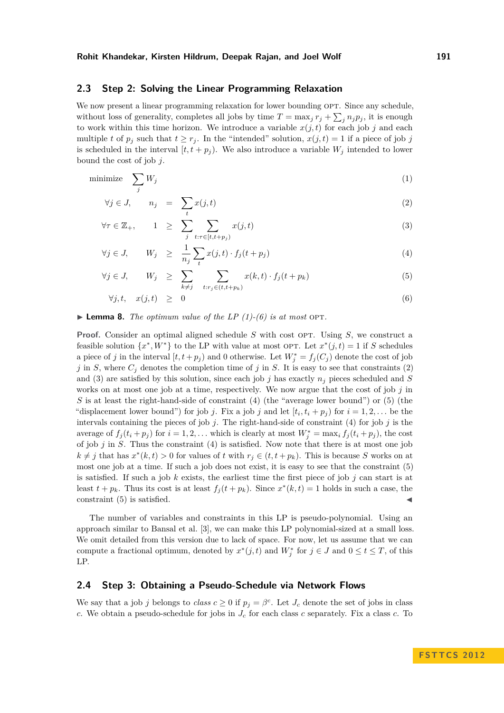## **2.3 Step 2: Solving the Linear Programming Relaxation**

We now present a linear programming relaxation for lower bounding OPT. Since any schedule, without loss of generality, completes all jobs by time  $T = \max_j r_j + \sum_j n_j p_j$ , it is enough to work within this time horizon. We introduce a variable  $x(j, t)$  for each job *j* and each multiple *t* of  $p_j$  such that  $t \geq r_j$ . In the "intended" solution,  $x(j, t) = 1$  if a piece of job *j* is scheduled in the interval  $[t, t + p_j)$ . We also introduce a variable  $W_j$  intended to lower bound the cost of job *j*.

<span id="page-6-1"></span>
$$
\text{minimize} \quad \sum_{j} W_j \tag{1}
$$

$$
\forall j \in J, \qquad n_j = \sum_t x(j, t) \tag{2}
$$

$$
\forall \tau \in \mathbb{Z}_+, \qquad 1 \geq \sum_{j} \sum_{t: \tau \in [t, t + p_j)} x(j, t) \tag{3}
$$

$$
\forall j \in J, \qquad W_j \geq \frac{1}{n_j} \sum_{t} x(j, t) \cdot f_j(t + p_j) \tag{4}
$$

$$
\forall j \in J, \qquad W_j \geq \sum_{k \neq j} \sum_{t: r_j \in (t, t + p_k)} x(k, t) \cdot f_j(t + p_k) \tag{5}
$$

$$
\forall j, t, \quad x(j, t) \geq 0 \tag{6}
$$

 $\blacktriangleright$  **Lemma 8.** *The optimum value of the LP [\(1\)](#page-6-1)-[\(6\)](#page-6-1) is at most* OPT.

**Proof.** Consider an optimal aligned schedule *S* with cost OPT. Using *S*, we construct a feasible solution  $\{x^*, W^*\}$  to the LP with value at most OPT. Let  $x^*(j,t) = 1$  if *S* schedules a piece of *j* in the interval  $[t, t + p_j)$  and 0 otherwise. Let  $W_j^* = f_j(C_j)$  denote the cost of job *j* in *S*, where  $C_j$  denotes the completion time of *j* in *S*. It is easy to see that constraints [\(2\)](#page-6-1) and [\(3\)](#page-6-1) are satisfied by this solution, since each job *j* has exactly *n<sup>j</sup>* pieces scheduled and *S* works on at most one job at a time, respectively. We now argue that the cost of job *j* in *S* is at least the right-hand-side of constraint [\(4\)](#page-6-1) (the "average lower bound") or [\(5\)](#page-6-1) (the "displacement lower bound") for job *j*. Fix a job *j* and let  $[t_i, t_i + p_j)$  for  $i = 1, 2, \ldots$  be the intervals containing the pieces of job *j*. The right-hand-side of constraint [\(4\)](#page-6-1) for job *j* is the average of  $f_j(t_i + p_j)$  for  $i = 1, 2, ...$  which is clearly at most  $W_j^* = \max_i f_j(t_i + p_j)$ , the cost of job *j* in *S*. Thus the constraint [\(4\)](#page-6-1) is satisfied. Now note that there is at most one job  $k \neq j$  that has  $x^*(k,t) > 0$  for values of *t* with  $r_j \in (t, t + p_k)$ . This is because *S* works on at most one job at a time. If such a job does not exist, it is easy to see that the constraint [\(5\)](#page-6-1) is satisfied. If such a job  $k$  exists, the earliest time the first piece of job  $j$  can start is at least  $t + p_k$ . Thus its cost is at least  $f_j(t + p_k)$ . Since  $x^*(k, t) = 1$  holds in such a case, the  $\epsilon$  constraint [\(5\)](#page-6-1) is satisfied.

The number of variables and constraints in this LP is pseudo-polynomial. Using an approach similar to Bansal et al. [\[3\]](#page-12-1), we can make this LP polynomial-sized at a small loss. We omit detailed from this version due to lack of space. For now, let us assume that we can compute a fractional optimum, denoted by  $x^*(j,t)$  and  $W_j^*$  for  $j \in J$  and  $0 \le t \le T$ , of this LP.

### <span id="page-6-0"></span>**2.4 Step 3: Obtaining a Pseudo-Schedule via Network Flows**

We say that a job *j* belongs to *class*  $c \geq 0$  if  $p_j = \beta^c$ . Let  $J_c$  denote the set of jobs in class *c*. We obtain a pseudo-schedule for jobs in *J<sup>c</sup>* for each class *c* separately. Fix a class *c*. To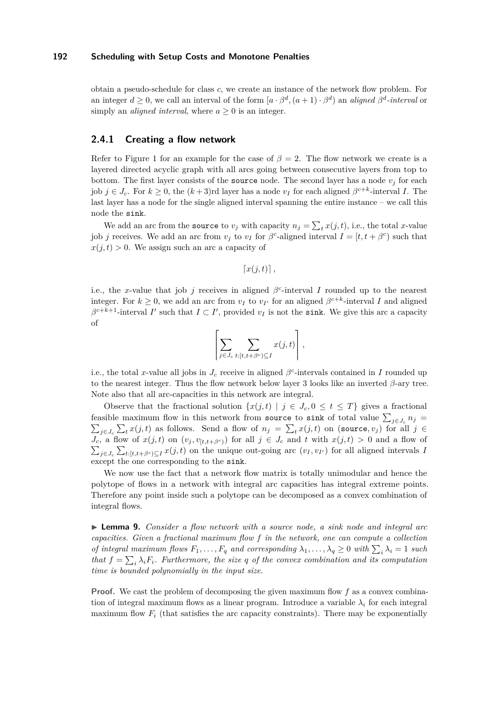obtain a pseudo-schedule for class *c*, we create an instance of the network flow problem. For an integer  $d \geq 0$ , we call an interval of the form  $[a \cdot \beta^d, (a+1) \cdot \beta^d)$  an *aligned*  $\beta^d$ -interval or simply an *aligned interval*, where  $a > 0$  is an integer.

## **2.4.1 Creating a flow network**

Refer to Figure [1](#page-8-0) for an example for the case of  $\beta = 2$ . The flow network we create is a layered directed acyclic graph with all arcs going between consecutive layers from top to bottom. The first layer consists of the source node. The second layer has a node  $v_j$  for each job  $j \in J_c$ . For  $k \geq 0$ , the  $(k+3)$ rd layer has a node  $v_I$  for each aligned  $\beta^{c+k}$ -interval *I*. The last layer has a node for the single aligned interval spanning the entire instance – we call this node the sink.

We add an arc from the **source** to  $v_j$  with capacity  $n_j = \sum_t x(j, t)$ , i.e., the total *x*-value job *j* receives. We add an arc from  $v_j$  to  $v_I$  for  $\beta^c$ -aligned interval  $I = [t, t + \beta^c)$  such that  $x(j, t) > 0$ . We assign such an arc a capacity of

 $\lceil x(j,t) \rceil$ ,

i.e., the *x*-value that job *j* receives in aligned  $\beta^c$ -interval *I* rounded up to the nearest integer. For  $k \geq 0$ , we add an arc from  $v_I$  to  $v_{I'}$  for an aligned  $\beta^{c+k}$ -interval *I* and aligned  $\beta^{c+k+1}$ -interval *I*' such that  $I \subset I'$ , provided  $v_I$  is not the sink. We give this arc a capacity of

$$
\left[\sum_{j\in J_c}\sum_{t:[t,t+\beta^c)\subseteq I}x(j,t)\right],
$$

i.e., the total *x*-value all jobs in  $J_c$  receive in aligned  $\beta^c$ -intervals contained in *I* rounded up to the nearest integer. Thus the flow network below layer 3 looks like an inverted *β*-ary tree. Note also that all arc-capacities in this network are integral.

Observe that the fractional solution  $\{x(j, t) | j \in J_c, 0 \le t \le T\}$  gives a fractional feasible maximum flow in this network from source to sink of total value  $\sum_{j\in J_c} n_j =$  $\sum_{j\in J_c}$   $\sum_t x(j,t)$  as follows. Send a flow of  $n_j = \sum_t x(j,t)$  on (source,  $v_j$ ) for all *j* ∈  $J_c$ , a flow of  $x(j,t)$  on  $(v_j, v_{[t,t+\beta^c)})$  for all  $j \in J_c$  and  $t$  with  $x(j,t) > 0$  and a flow of  $\sum_{j\in J_c}\sum_{t:[t,t+\beta^c)\subseteq I}x(j,t)$  on the unique out-going arc  $(v_I, v_{I'})$  for all aligned intervals *I* except the one corresponding to the sink.

We now use the fact that a network flow matrix is totally unimodular and hence the polytope of flows in a network with integral arc capacities has integral extreme points. Therefore any point inside such a polytope can be decomposed as a convex combination of integral flows.

<span id="page-7-0"></span>► **Lemma 9.** *Consider a flow network with a source node, a sink node and integral arc capacities. Given a fractional maximum flow f in the network, one can compute a collection of integral maximum flows*  $F_1, \ldots, F_q$  *and corresponding*  $\lambda_1, \ldots, \lambda_q \geq 0$  *with*  $\sum_i \lambda_i = 1$  *such that*  $f = \sum_i \lambda_i F_i$ . Furthermore, the size q of the convex combination and its computation *time is bounded polynomially in the input size.*

**Proof.** We cast the problem of decomposing the given maximum flow f as a convex combination of integral maximum flows as a linear program. Introduce a variable  $\lambda_i$  for each integral maximum flow  $F_i$  (that satisfies the arc capacity constraints). There may be exponentially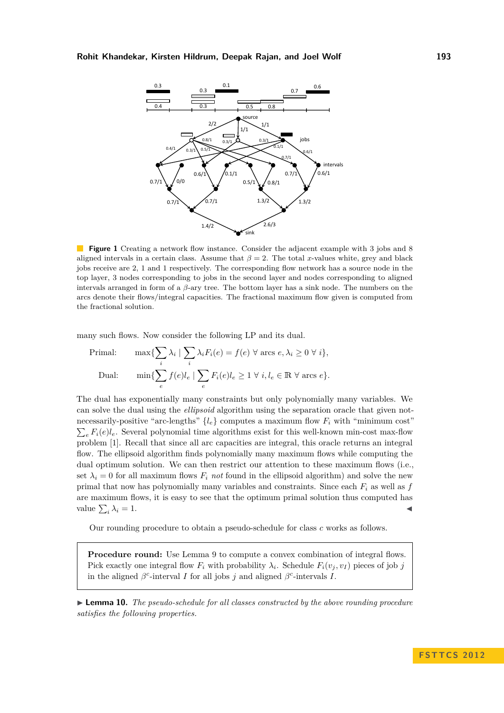<span id="page-8-0"></span>

**Figure 1** Creating a network flow instance. Consider the adjacent example with 3 jobs and 8 aligned intervals in a certain class. Assume that  $\beta = 2$ . The total *x*-values white, grey and black jobs receive are 2, 1 and 1 respectively. The corresponding flow network has a source node in the top layer, 3 nodes corresponding to jobs in the second layer and nodes corresponding to aligned intervals arranged in form of a *β*-ary tree. The bottom layer has a sink node. The numbers on the arcs denote their flows/integral capacities. The fractional maximum flow given is computed from the fractional solution.

many such flows. Now consider the following LP and its dual.

$$
\begin{aligned}\n\text{Primal:} \qquad & \max \{ \sum_{i} \lambda_i \mid \sum_{i} \lambda_i F_i(e) = f(e) \; \forall \; \text{arcs } e, \lambda_i \ge 0 \; \forall \; i \}, \\
\text{Dual:} \qquad & \min \{ \sum_{e} f(e)l_e \mid \sum_{e} F_i(e)l_e \ge 1 \; \forall \; i, l_e \in \mathbb{R} \; \forall \; \text{arcs } e \}. \n\end{aligned}
$$

The dual has exponentially many constraints but only polynomially many variables. We can solve the dual using the *ellipsoid* algorithm using the separation oracle that given notnecessarily-positive "arc-lengths"  $\{l_e\}$  computes a maximum flow  $F_i$  with "minimum cost"  $\sum_{e} F_i(e) l_e$ . Several polynomial time algorithms exist for this well-known min-cost max-flow problem [\[1\]](#page-12-9). Recall that since all arc capacities are integral, this oracle returns an integral flow. The ellipsoid algorithm finds polynomially many maximum flows while computing the dual optimum solution. We can then restrict our attention to these maximum flows (i.e., set  $\lambda_i = 0$  for all maximum flows  $F_i$  *not* found in the ellipsoid algorithm) and solve the new primal that now has polynomially many variables and constraints. Since each *F<sup>i</sup>* as well as *f* are maximum flows, it is easy to see that the optimum primal solution thus computed has value  $\sum_i$  $\lambda_i = 1.$ 

Our rounding procedure to obtain a pseudo-schedule for class *c* works as follows.

**Procedure round:** Use Lemma [9](#page-7-0) to compute a convex combination of integral flows. Pick exactly one integral flow  $F_i$  with probability  $\lambda_i$ . Schedule  $F_i(v_j, v_j)$  pieces of job *j* in the aligned  $\beta^c$ -interval *I* for all jobs *j* and aligned  $\beta^c$ -intervals *I*.

<span id="page-8-1"></span>► **Lemma 10.** *The pseudo-schedule for all classes constructed by the above rounding procedure satisfies the following properties.*

**F S T T C S 2 0 1 2**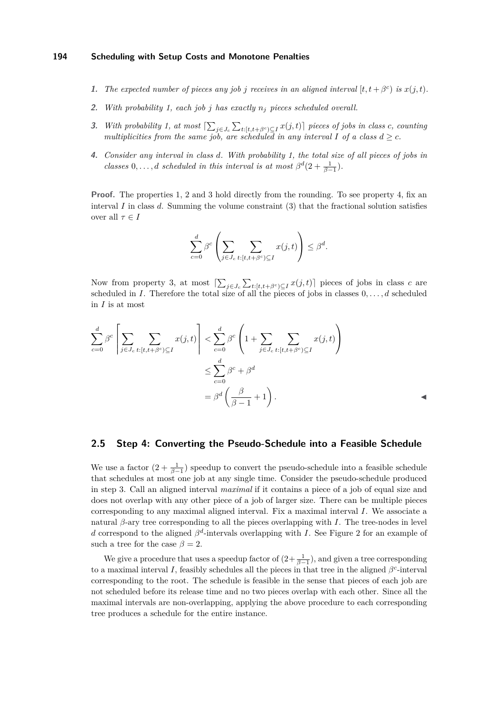- **1.** The expected number of pieces any job *j* receives in an aligned interval  $[t, t + \beta^c)$  is  $x(j, t)$ .
- **2.** *With probability 1, each job j has exactly n<sup>j</sup> pieces scheduled overall.*
- **3.** *With probability 1, at most*  $[\sum_{j\in J_c}\sum_{t:[t,t+\beta^c]\subseteq I}x(j,t)]$  pieces of jobs in class c, counting *multiplicities from the same job, are scheduled in any interval*  $I$  *of a class*  $d \geq c$ *.*
- **4.** *Consider any interval in class d. With probability 1, the total size of all pieces of jobs in classes* 0*,..., d scheduled in this interval is at most*  $\beta^d(2 + \frac{1}{\beta - 1})$ *.*

**Proof.** The properties 1, 2 and 3 hold directly from the rounding. To see property 4, fix an interval *I* in class *d*. Summing the volume constraint [\(3\)](#page-6-1) that the fractional solution satisfies over all  $\tau \in I$ 

$$
\sum_{c=0}^d \beta^c \left( \sum_{j \in J_c} \sum_{t : [t, t + \beta^c) \subseteq I} x(j, t) \right) \leq \beta^d.
$$

Now from property 3, at most  $\left[\sum_{j\in J_c}\sum_{t:\left[t,t+\beta^c\right]\subseteq I}x(j,t)\right]$  pieces of jobs in class *c* are scheduled in *I*. Therefore the total size of all the pieces of jobs in classes 0*, . . . , d* scheduled in *I* is at most

$$
\sum_{c=0}^{d} \beta^{c} \left[ \sum_{j \in J_c} \sum_{t:[t,t+\beta^c] \subseteq I} x(j,t) \right] < \sum_{c=0}^{d} \beta^{c} \left( 1 + \sum_{j \in J_c} \sum_{t:[t,t+\beta^c] \subseteq I} x(j,t) \right) \\
&\leq \sum_{c=0}^{d} \beta^{c} + \beta^{d} \\
= \beta^{d} \left( \frac{\beta}{\beta - 1} + 1 \right).
$$

## **2.5 Step 4: Converting the Pseudo-Schedule into a Feasible Schedule**

We use a factor  $(2 + \frac{1}{\beta - 1})$  speedup to convert the pseudo-schedule into a feasible schedule that schedules at most one job at any single time. Consider the pseudo-schedule produced in step 3. Call an aligned interval *maximal* if it contains a piece of a job of equal size and does not overlap with any other piece of a job of larger size. There can be multiple pieces corresponding to any maximal aligned interval. Fix a maximal interval *I*. We associate a natural *β*-ary tree corresponding to all the pieces overlapping with *I*. The tree-nodes in level *d* correspond to the aligned  $\beta^d$ -intervals overlapping with *I*. See Figure [2](#page-10-0) for an example of such a tree for the case  $\beta = 2$ .

We give a procedure that uses a speedup factor of  $(2+\frac{1}{\beta-1})$ , and given a tree corresponding to a maximal interval *I*, feasibly schedules all the pieces in that tree in the aligned  $\beta^c$ -interval corresponding to the root. The schedule is feasible in the sense that pieces of each job are not scheduled before its release time and no two pieces overlap with each other. Since all the maximal intervals are non-overlapping, applying the above procedure to each corresponding tree produces a schedule for the entire instance.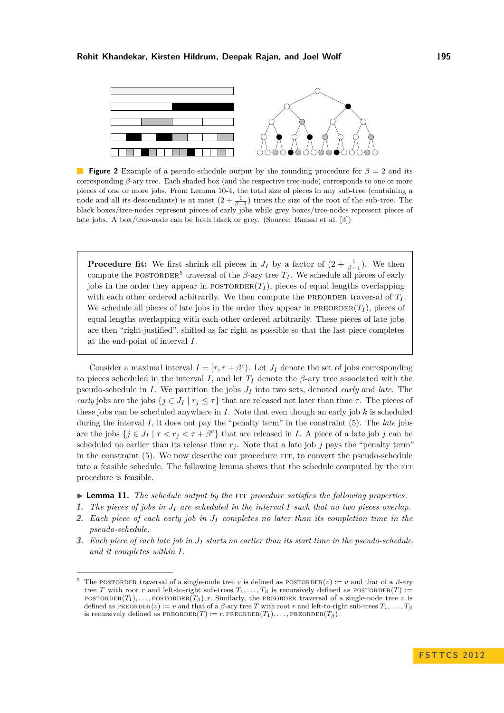<span id="page-10-0"></span>

**Figure 2** Example of a pseudo-schedule output by the rounding procedure for *β* = 2 and its corresponding *β*-ary tree. Each shaded box (and the respective tree-node) corresponds to one or more pieces of one or more jobs. From Lemma [10-](#page-8-1)4, the total size of pieces in any sub-tree (containing a node and all its descendants) is at most  $(2 + \frac{1}{\beta - 1})$  times the size of the root of the sub-tree. The black boxes/tree-nodes represent pieces of early jobs while grey boxes/tree-nodes represent pieces of late jobs. A box/tree-node can be both black or grey. (Source: Bansal et al. [\[3\]](#page-12-1))

**Procedure fit:** We first shrink all pieces in  $J_I$  by a factor of  $(2 + \frac{1}{\beta - 1})$ . We then compute the POSTORDER<sup>5</sup> traversal of the  $\beta$ -ary tree  $T_I$ . We schedule all pieces of early jobs in the order they appear in  $\text{POSTORDER}(T_I)$ , pieces of equal lengths overlapping with each other ordered arbitrarily. We then compute the PREORDER traversal of  $T_I$ . We schedule all pieces of late jobs in the order they appear in PREORDER $(T_I)$ , pieces of equal lengths overlapping with each other ordered arbitrarily. These pieces of late jobs are then "right-justified", shifted as far right as possible so that the last piece completes at the end-point of interval *I*.

Consider a maximal interval  $I = [\tau, \tau + \beta^c]$ . Let  $J_I$  denote the set of jobs corresponding to pieces scheduled in the interval *I*, and let  $T_I$  denote the  $\beta$ -ary tree associated with the pseudo-schedule in *I*. We partition the jobs *J<sup>I</sup>* into two sets, denoted *early* and *late*. The *early* jobs are the jobs  $\{j \in J_I \mid r_j \leq \tau\}$  that are released not later than time  $\tau$ . The pieces of these jobs can be scheduled anywhere in *I*. Note that even though an early job *k* is scheduled during the interval *I*, it does not pay the "penalty term" in the constraint [\(5\)](#page-6-1). The *late* jobs are the jobs  $\{j \in J_I \mid \tau \leq r_j \leq \tau + \beta^c\}$  that are released in *I*. A piece of a late job *j* can be scheduled no earlier than its release time  $r_j$ . Note that a late job *j* pays the "penalty term" in the constraint [\(5\)](#page-6-1). We now describe our procedure fit, to convert the pseudo-schedule into a feasible schedule. The following lemma shows that the schedule computed by the FIT procedure is feasible.

- <span id="page-10-1"></span>▶ **Lemma 11.** *The schedule output by the* FIT *procedure satisfies the following properties.*
- **1.** *The pieces of jobs in J<sup>I</sup> are scheduled in the interval I such that no two pieces overlap.*
- **2.** *Each piece of each early job in J<sup>I</sup> completes no later than its completion time in the pseudo-schedule.*
- **3.** *Each piece of each late job in J<sup>I</sup> starts no earlier than its start time in the pseudo-schedule, and it completes within I.*

<sup>&</sup>lt;sup>5</sup> The POSTORDER traversal of a single-node tree *v* is defined as POSTORDER(*v*) := *v* and that of a  $\beta$ -ary tree *T* with root *r* and left-to-right sub-trees  $T_1, \ldots, T_\beta$  is recursively defined as POSTORDER(*T*) :=  $\text{POSTORDER}(T_1), \ldots, \text{POSTORDER}(T_\beta), r$ . Similarly, the PREORDER traversal of a single-node tree *v* is defined as  $\text{PREORDER}(v) := v$  and that of a  $\beta$ -ary tree *T* with root *r* and left-to-right sub-trees  $T_1, \ldots, T_\beta$ is recursively defined as  $\text{PREORDER}(T) := r$ ,  $\text{PREORDER}(T_1), \ldots, \text{PREORDER}(T_\beta)$ .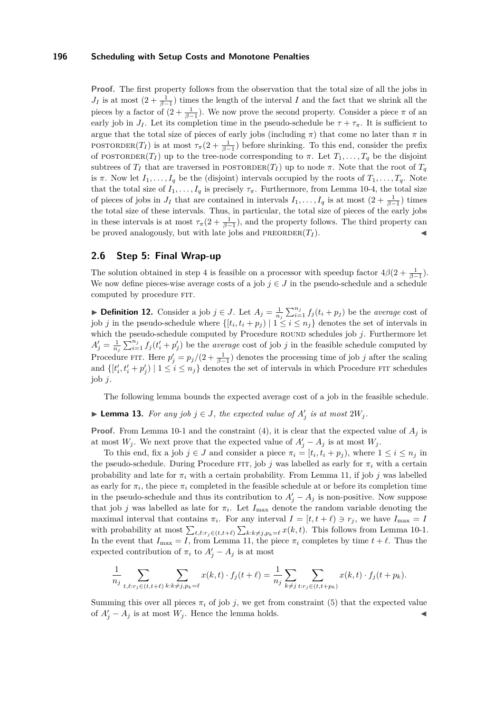**Proof.** The first property follows from the observation that the total size of all the jobs in *J<sub>I</sub>* is at most  $(2 + \frac{1}{\beta - 1})$  times the length of the interval *I* and the fact that we shrink all the pieces by a factor of  $(2 + \frac{1}{\beta - 1})$ . We now prove the second property. Consider a piece  $\pi$  of an early job in *J*<sub>*I*</sub>. Let its completion time in the pseudo-schedule be  $\tau + \tau_{\pi}$ . It is sufficient to argue that the total size of pieces of early jobs (including  $\pi$ ) that come no later than  $\pi$  in POSTORDER(*T<sub>I</sub>*) is at most  $\tau_{\pi}(2 + \frac{1}{\beta-1})$  before shrinking. To this end, consider the prefix of POSTORDER(*T<sub>I</sub>*) up to the tree-node corresponding to  $\pi$ . Let  $T_1, \ldots, T_q$  be the disjoint subtrees of  $T_I$  that are traversed in POSTORDER( $T_I$ ) up to node  $\pi$ . Note that the root of  $T_q$ is  $\pi$ . Now let  $I_1, \ldots, I_q$  be the (disjoint) intervals occupied by the roots of  $T_1, \ldots, T_q$ . Note that the total size of  $I_1, \ldots, I_q$  is precisely  $\tau_{\pi}$ . Furthermore, from Lemma [10-](#page-8-1)4, the total size of pieces of jobs in  $J_I$  that are contained in intervals  $I_1, \ldots, I_q$  is at most  $(2 + \frac{1}{\beta - 1})$  times the total size of these intervals. Thus, in particular, the total size of pieces of the early jobs in these intervals is at most  $\tau_{\pi}(2 + \frac{1}{\beta-1})$ , and the property follows. The third property can be proved analogously, but with late jobs and  $\text{PREORDER}(T_I)$ .

## **2.6 Step 5: Final Wrap-up**

The solution obtained in step 4 is feasible on a processor with speedup factor  $4\beta(2+\frac{1}{\beta-1})$ . We now define pieces-wise average costs of a job  $j \in J$  in the pseudo-schedule and a schedule computed by procedure FIT.

▶ **Definition 12.** Consider a job  $j \in J$ . Let  $A_j = \frac{1}{n_j} \sum_{i=1}^{n_j} f_j(t_i + p_j)$  be the *average* cost of job *j* in the pseudo-schedule where  $\{[t_i, t_i + p_j) \mid 1 \leq i \leq n_j\}$  denotes the set of intervals in which the pseudo-schedule computed by Procedure round schedules job *j*. Furthermore let  $A'_{j} = \frac{1}{n_{j}} \sum_{i=1}^{n_{j}} f_{j}(t'_{i} + p'_{j})$  be the *average* cost of job *j* in the feasible schedule computed by Procedure FIT. Here  $p'_j = p_j/(2 + \frac{1}{\beta - 1})$  denotes the processing time of job *j* after the scaling and  $\{[t'_i, t'_i + p'_j) \mid 1 \le i \le n_j\}$  denotes the set of intervals in which Procedure FIT schedules job *j*.

The following lemma bounds the expected average cost of a job in the feasible schedule.

▶ **Lemma 13.** *For any job*  $j \in J$ *, the expected value of*  $A'_j$  *is at most*  $2W_j$ *.* 

**Proof.** From Lemma [10-](#page-8-1)1 and the constraint [\(4\)](#page-6-1), it is clear that the expected value of  $A_i$  is at most  $W_j$ . We next prove that the expected value of  $A'_j - A_j$  is at most  $W_j$ .

To this end, fix a job  $j \in J$  and consider a piece  $\pi_i = [t_i, t_i + p_j)$ , where  $1 \leq i \leq n_j$  in the pseudo-schedule. During Procedure FIT, job *j* was labelled as early for  $\pi_i$  with a certain probability and late for  $\pi_i$  with a certain probability. From Lemma [11,](#page-10-1) if job *j* was labelled as early for  $\pi_i$ , the piece  $\pi_i$  completed in the feasible schedule at or before its completion time in the pseudo-schedule and thus its contribution to  $A'_{j} - A_{j}$  is non-positive. Now suppose that job *j* was labelled as late for  $\pi_i$ . Let  $I_{\text{max}}$  denote the random variable denoting the maximal interval that contains  $\pi_i$ . For any interval  $I = [t, t + \ell] \ni r_j$ , we have  $I_{\text{max}} = I$ with probability at most  $\sum_{t,\ell:r_j\in(t,t+\ell)}\sum_{k:k\neq j,p_k=\ell}x(k,t)$ . This follows from Lemma [10-](#page-8-1)1. In the event that  $I_{\text{max}} = I$ , from Lemma [11,](#page-10-1) the piece  $\pi_i$  completes by time  $t + \ell$ . Thus the expected contribution of  $\pi_i$  to  $A'_j - A_j$  is at most

$$
\frac{1}{n_j} \sum_{t,\ell:r_j \in (t,t+\ell)} \sum_{k:k \neq j, p_k=\ell} x(k,t) \cdot f_j(t+\ell) = \frac{1}{n_j} \sum_{k \neq j} \sum_{t:r_j \in (t,t+p_k)} x(k,t) \cdot f_j(t+p_k).
$$

Summing this over all pieces  $\pi_i$  of job *j*, we get from constraint [\(5\)](#page-6-1) that the expected value of  $A'_{j} - A_{j}$  is at most  $W_{j}$ . Hence the lemma holds.  $\triangleleft$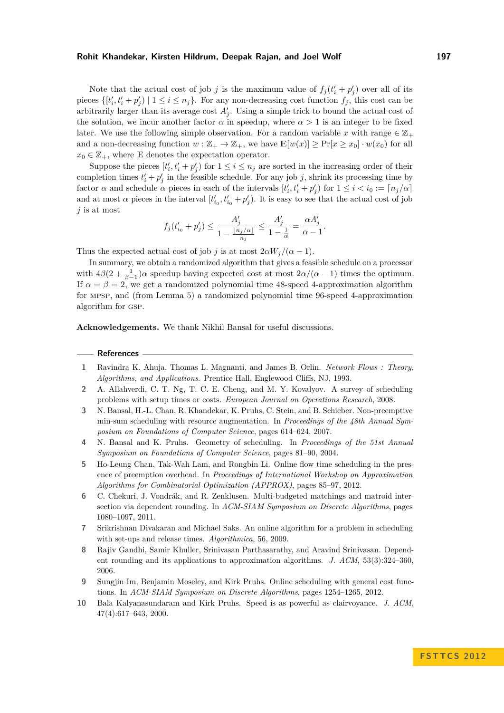#### **Rohit Khandekar, Kirsten Hildrum, Deepak Rajan, and Joel Wolf 197**

Note that the actual cost of job *j* is the maximum value of  $f_j(t'_i + p'_j)$  over all of its pieces  $\{[t'_i, t'_i + p'_j) \mid 1 \leq i \leq n_j\}$ . For any non-decreasing cost function  $f_j$ , this cost can be arbitrarily larger than its average cost  $A'_{j}$ . Using a simple trick to bound the actual cost of the solution, we incur another factor  $\alpha$  in speedup, where  $\alpha > 1$  is an integer to be fixed later. We use the following simple observation. For a random variable x with range  $\in \mathbb{Z}_+$ and a non-decreasing function  $w : \mathbb{Z}_+ \to \mathbb{Z}_+$ , we have  $\mathbb{E}[w(x)] > \Pr[x > x_0] \cdot w(x_0)$  for all  $x_0 \in \mathbb{Z}_+$ , where E denotes the expectation operator.

Suppose the pieces  $[t'_i, t'_i + p'_j)$  for  $1 \leq i \leq n_j$  are sorted in the increasing order of their completion times  $t'_{i} + p'_{j}$  in the feasible schedule. For any job *j*, shrink its processing time by factor *α* and schedule *α* pieces in each of the intervals  $[t'_i, t'_i + p'_j)$  for  $1 \le i \le i_0 := \lceil n_j/\alpha \rceil$ and at most  $\alpha$  pieces in the interval  $[t'_{i_0}, t'_{i_0} + p'_j)$ . It is easy to see that the actual cost of job *j* is at most

$$
f_j(t_{i_0}'+p_j')\leq \frac{A_j'}{1-\frac{\lfloor n_j/\alpha\rfloor}{n_j}}\leq \frac{A_j'}{1-\frac{1}{\alpha}}=\frac{\alpha A_j'}{\alpha-1}.
$$

Thus the expected actual cost of job *j* is at most  $2\alpha W_i/(\alpha - 1)$ .

In summary, we obtain a randomized algorithm that gives a feasible schedule on a processor with  $4\beta(2+\frac{1}{\beta-1})\alpha$  speedup having expected cost at most  $2\alpha/(\alpha-1)$  times the optimum. If  $\alpha = \beta = 2$ , we get a randomized polynomial time 48-speed 4-approximation algorithm for mpsp, and (from Lemma [5\)](#page-5-0) a randomized polynomial time 96-speed 4-approximation algorithm for gsp.

**Acknowledgements.** We thank Nikhil Bansal for useful discussions.

#### **References**

- <span id="page-12-9"></span>**1** Ravindra K. Ahuja, Thomas L. Magnanti, and James B. Orlin. *Network Flows : Theory, Algorithms, and Applications*. Prentice Hall, Englewood Cliffs, NJ, 1993.
- <span id="page-12-6"></span>**2** A. Allahverdi, C. T. Ng, T. C. E. Cheng, and M. Y. Kovalyov. A survey of scheduling problems with setup times or costs. *European Journal on Operations Research*, 2008.
- <span id="page-12-1"></span>**3** N. Bansal, H.-L. Chan, R. Khandekar, K. Pruhs, C. Stein, and B. Schieber. Non-preemptive min-sum scheduling with resource augmentation. In *Proceedings of the 48th Annual Symposium on Foundations of Computer Science*, pages 614–624, 2007.
- <span id="page-12-4"></span>**4** N. Bansal and K. Pruhs. Geometry of scheduling. In *Proceedings of the 51st Annual Symposium on Foundations of Computer Science*, pages 81–90, 2004.
- <span id="page-12-8"></span>**5** Ho-Leung Chan, Tak-Wah Lam, and Rongbin Li. Online flow time scheduling in the presence of preemption overhead. In *Proceedings of International Workshop on Approximation Algorithms for Combinatorial Optimization (APPROX)*, pages 85–97, 2012.
- <span id="page-12-3"></span>**6** C. Chekuri, J. Vondrák, and R. Zenklusen. Multi-budgeted matchings and matroid intersection via dependent rounding. In *ACM-SIAM Symposium on Discrete Algorithms*, pages 1080–1097, 2011.
- <span id="page-12-7"></span>**7** Srikrishnan Divakaran and Michael Saks. An online algorithm for a problem in scheduling with set-ups and release times. *Algorithmica*, 56, 2009.
- <span id="page-12-2"></span>**8** Rajiv Gandhi, Samir Khuller, Srinivasan Parthasarathy, and Aravind Srinivasan. Dependent rounding and its applications to approximation algorithms. *J. ACM*, 53(3):324–360, 2006.
- <span id="page-12-5"></span>**9** Sungjin Im, Benjamin Moseley, and Kirk Pruhs. Online scheduling with general cost functions. In *ACM-SIAM Symposium on Discrete Algorithms*, pages 1254–1265, 2012.
- <span id="page-12-0"></span>**10** Bala Kalyanasundaram and Kirk Pruhs. Speed is as powerful as clairvoyance. *J. ACM*, 47(4):617–643, 2000.